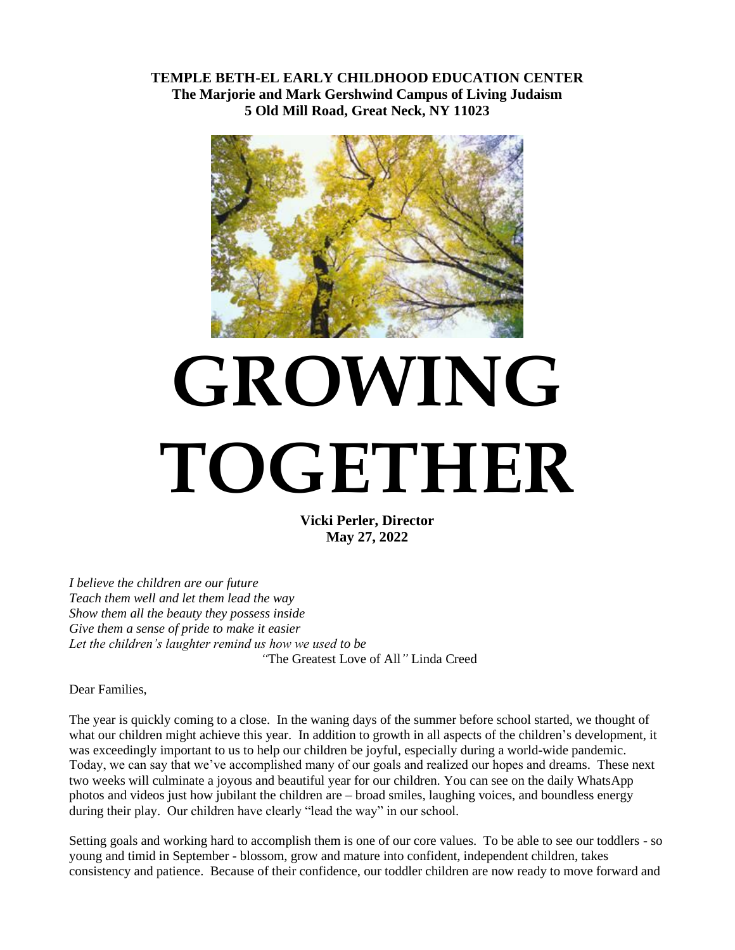**TEMPLE BETH-EL EARLY CHILDHOOD EDUCATION CENTER The Marjorie and Mark Gershwind Campus of Living Judaism 5 Old Mill Road, Great Neck, NY 11023**



# **GROWING TOGETHER**

**Vicki Perler, Director May 27, 2022**

*I believe the children are our future Teach them well and let them lead the way Show them all the beauty they possess inside Give them a sense of pride to make it easier Let the children's laughter remind us how we used to be "*The Greatest Love of All*"* Linda Creed

Dear Families,

The year is quickly coming to a close. In the waning days of the summer before school started, we thought of what our children might achieve this year. In addition to growth in all aspects of the children's development, it was exceedingly important to us to help our children be joyful, especially during a world-wide pandemic. Today, we can say that we've accomplished many of our goals and realized our hopes and dreams. These next two weeks will culminate a joyous and beautiful year for our children. You can see on the daily WhatsApp photos and videos just how jubilant the children are – broad smiles, laughing voices, and boundless energy during their play. Our children have clearly "lead the way" in our school.

Setting goals and working hard to accomplish them is one of our core values. To be able to see our toddlers - so young and timid in September - blossom, grow and mature into confident, independent children, takes consistency and patience. Because of their confidence, our toddler children are now ready to move forward and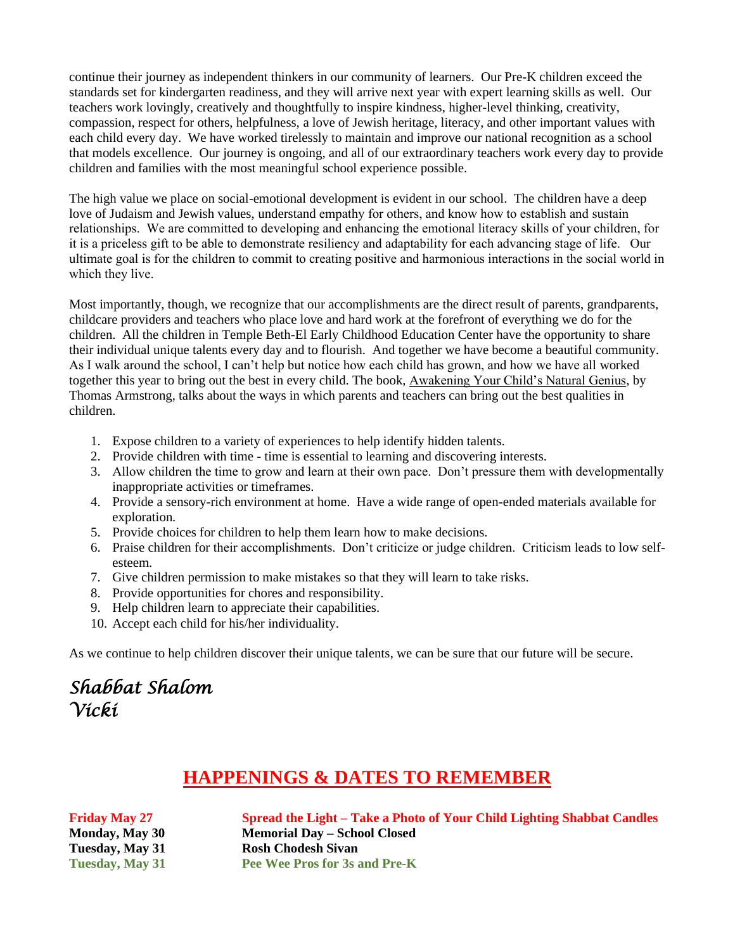continue their journey as independent thinkers in our community of learners. Our Pre-K children exceed the standards set for kindergarten readiness, and they will arrive next year with expert learning skills as well. Our teachers work lovingly, creatively and thoughtfully to inspire kindness, higher-level thinking, creativity, compassion, respect for others, helpfulness, a love of Jewish heritage, literacy, and other important values with each child every day. We have worked tirelessly to maintain and improve our national recognition as a school that models excellence. Our journey is ongoing, and all of our extraordinary teachers work every day to provide children and families with the most meaningful school experience possible.

The high value we place on social-emotional development is evident in our school. The children have a deep love of Judaism and Jewish values, understand empathy for others, and know how to establish and sustain relationships. We are committed to developing and enhancing the emotional literacy skills of your children, for it is a priceless gift to be able to demonstrate resiliency and adaptability for each advancing stage of life. Our ultimate goal is for the children to commit to creating positive and harmonious interactions in the social world in which they live.

Most importantly, though, we recognize that our accomplishments are the direct result of parents, grandparents, childcare providers and teachers who place love and hard work at the forefront of everything we do for the children. All the children in Temple Beth-El Early Childhood Education Center have the opportunity to share their individual unique talents every day and to flourish. And together we have become a beautiful community. As I walk around the school, I can't help but notice how each child has grown, and how we have all worked together this year to bring out the best in every child. The book, Awakening Your Child's Natural Genius, by Thomas Armstrong, talks about the ways in which parents and teachers can bring out the best qualities in children.

- 1. Expose children to a variety of experiences to help identify hidden talents.
- 2. Provide children with time time is essential to learning and discovering interests.
- 3. Allow children the time to grow and learn at their own pace. Don't pressure them with developmentally inappropriate activities or timeframes.
- 4. Provide a sensory-rich environment at home. Have a wide range of open-ended materials available for exploration.
- 5. Provide choices for children to help them learn how to make decisions.
- 6. Praise children for their accomplishments. Don't criticize or judge children. Criticism leads to low selfesteem.
- 7. Give children permission to make mistakes so that they will learn to take risks.
- 8. Provide opportunities for chores and responsibility.
- 9. Help children learn to appreciate their capabilities.
- 10. Accept each child for his/her individuality.

As we continue to help children discover their unique talents, we can be sure that our future will be secure.

## *Shabbat Shalom Vicki*

### **HAPPENINGS & DATES TO REMEMBER**

**Friday May 27 Spread the Light – Take a Photo of Your Child Lighting Shabbat Candles Monday, May 30 Memorial Day – School Closed Tuesday, May 31 Rosh Chodesh Sivan Tuesday, May 31 Pee Wee Pros for 3s and Pre-K**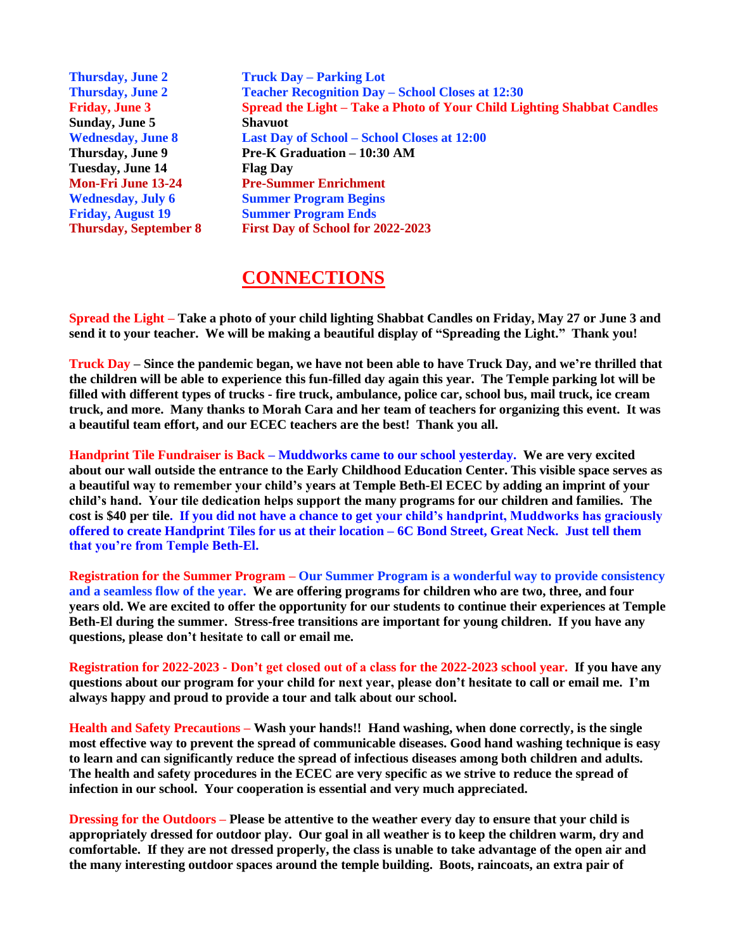**Thursday, June 2 Truck Day – Parking Lot Thursday, June 2 Teacher Recognition Day – School Closes at 12:30 Friday, June 3 Spread the Light – Take a Photo of Your Child Lighting Shabbat Candles Sunday, June 5 Shavuot Wednesday, June 8 Last Day of School – School Closes at 12:00 Thursday, June 9 Pre-K Graduation – 10:30 AM Tuesday, June 14 Flag Day Mon-Fri June 13-24 Pre-Summer Enrichment Wednesday, July 6 Summer Program Begins Friday, August 19 Summer Program Ends Thursday, September 8 First Day of School for 2022-2023**

#### **CONNECTIONS**

**Spread the Light – Take a photo of your child lighting Shabbat Candles on Friday, May 27 or June 3 and send it to your teacher. We will be making a beautiful display of "Spreading the Light." Thank you!**

**Truck Day – Since the pandemic began, we have not been able to have Truck Day, and we're thrilled that the children will be able to experience this fun-filled day again this year. The Temple parking lot will be filled with different types of trucks - fire truck, ambulance, police car, school bus, mail truck, ice cream truck, and more. Many thanks to Morah Cara and her team of teachers for organizing this event. It was a beautiful team effort, and our ECEC teachers are the best! Thank you all.**

**Handprint Tile Fundraiser is Back – Muddworks came to our school yesterday. We are very excited about our wall outside the entrance to the Early Childhood Education Center. This visible space serves as a beautiful way to remember your child's years at Temple Beth-El ECEC by adding an imprint of your child's hand. Your tile dedication helps support the many programs for our children and families. The cost is \$40 per tile. If you did not have a chance to get your child's handprint, Muddworks has graciously offered to create Handprint Tiles for us at their location – 6C Bond Street, Great Neck. Just tell them that you're from Temple Beth-El.**

**Registration for the Summer Program – Our Summer Program is a wonderful way to provide consistency and a seamless flow of the year. We are offering programs for children who are two, three, and four years old. We are excited to offer the opportunity for our students to continue their experiences at Temple Beth-El during the summer. Stress-free transitions are important for young children. If you have any questions, please don't hesitate to call or email me.**

**Registration for 2022-2023 - Don't get closed out of a class for the 2022-2023 school year. If you have any questions about our program for your child for next year, please don't hesitate to call or email me. I'm always happy and proud to provide a tour and talk about our school.** 

**Health and Safety Precautions – Wash your hands!! Hand washing, when done correctly, is the single most effective way to prevent the spread of communicable diseases. Good hand washing technique is easy to learn and can significantly reduce the spread of infectious diseases among both children and adults. The health and safety procedures in the ECEC are very specific as we strive to reduce the spread of infection in our school. Your cooperation is essential and very much appreciated.**

**Dressing for the Outdoors – Please be attentive to the weather every day to ensure that your child is appropriately dressed for outdoor play. Our goal in all weather is to keep the children warm, dry and comfortable. If they are not dressed properly, the class is unable to take advantage of the open air and the many interesting outdoor spaces around the temple building. Boots, raincoats, an extra pair of**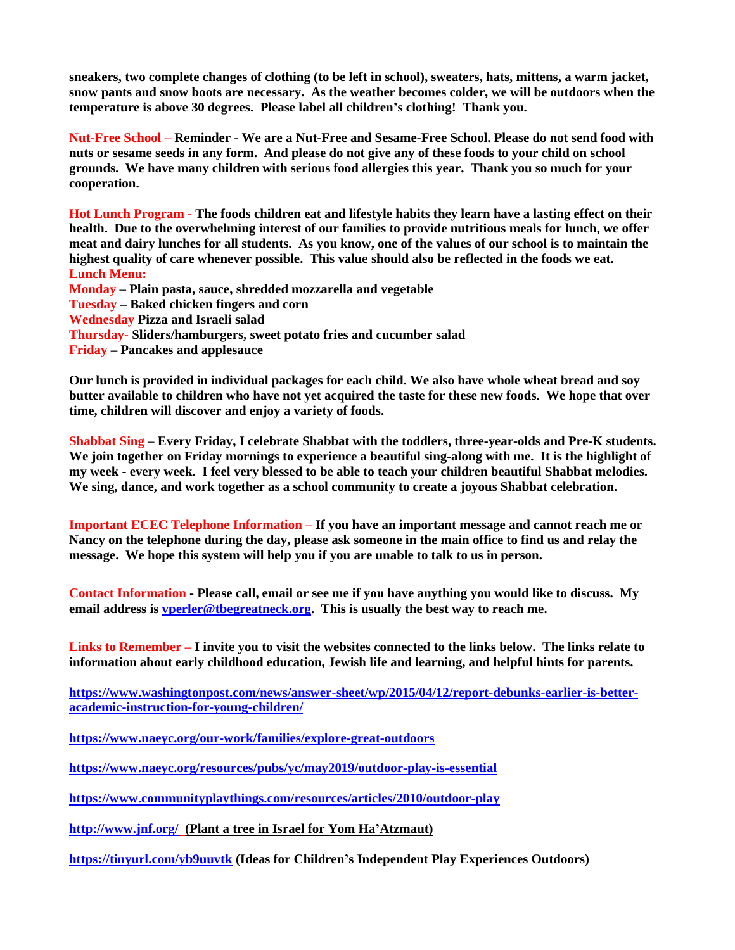**sneakers, two complete changes of clothing (to be left in school), sweaters, hats, mittens, a warm jacket, snow pants and snow boots are necessary. As the weather becomes colder, we will be outdoors when the temperature is above 30 degrees. Please label all children's clothing! Thank you.**

**Nut-Free School – Reminder - We are a Nut-Free and Sesame-Free School. Please do not send food with nuts or sesame seeds in any form. And please do not give any of these foods to your child on school grounds. We have many children with serious food allergies this year. Thank you so much for your cooperation.**

**Hot Lunch Program - The foods children eat and lifestyle habits they learn have a lasting effect on their health. Due to the overwhelming interest of our families to provide nutritious meals for lunch, we offer meat and dairy lunches for all students. As you know, one of the values of our school is to maintain the highest quality of care whenever possible. This value should also be reflected in the foods we eat. Lunch Menu: Monday – Plain pasta, sauce, shredded mozzarella and vegetable**

**Tuesday – Baked chicken fingers and corn Wednesday Pizza and Israeli salad Thursday- Sliders/hamburgers, sweet potato fries and cucumber salad Friday – Pancakes and applesauce**

**Our lunch is provided in individual packages for each child. We also have whole wheat bread and soy butter available to children who have not yet acquired the taste for these new foods. We hope that over time, children will discover and enjoy a variety of foods.**

**Shabbat Sing – Every Friday, I celebrate Shabbat with the toddlers, three-year-olds and Pre-K students. We join together on Friday mornings to experience a beautiful sing-along with me. It is the highlight of my week - every week. I feel very blessed to be able to teach your children beautiful Shabbat melodies. We sing, dance, and work together as a school community to create a joyous Shabbat celebration.** 

**Important ECEC Telephone Information – If you have an important message and cannot reach me or Nancy on the telephone during the day, please ask someone in the main office to find us and relay the message. We hope this system will help you if you are unable to talk to us in person.**

**Contact Information - Please call, email or see me if you have anything you would like to discuss. My email address is [vperler@tbegreatneck.org.](mailto:vperler@tbegreatneck.org) This is usually the best way to reach me.**

**Links to Remember – I invite you to visit the websites connected to the links below. The links relate to information about early childhood education, Jewish life and learning, and helpful hints for parents.**

**[https://www.washingtonpost.com/news/answer-sheet/wp/2015/04/12/report-debunks-earlier-is-better](https://www.washingtonpost.com/news/answer-sheet/wp/2015/04/12/report-debunks-earlier-is-better-academic-instruction-for-young-children/)[academic-instruction-for-young-children/](https://www.washingtonpost.com/news/answer-sheet/wp/2015/04/12/report-debunks-earlier-is-better-academic-instruction-for-young-children/)**

**<https://www.naeyc.org/our-work/families/explore-great-outdoors>**

**<https://www.naeyc.org/resources/pubs/yc/may2019/outdoor-play-is-essential>**

**<https://www.communityplaythings.com/resources/articles/2010/outdoor-play>**

**<http://www.jnf.org/>(Plant a tree in Israel for Yom Ha'Atzmaut)**

**<https://tinyurl.com/yb9uuvtk> (Ideas for Children's Independent Play Experiences Outdoors)**